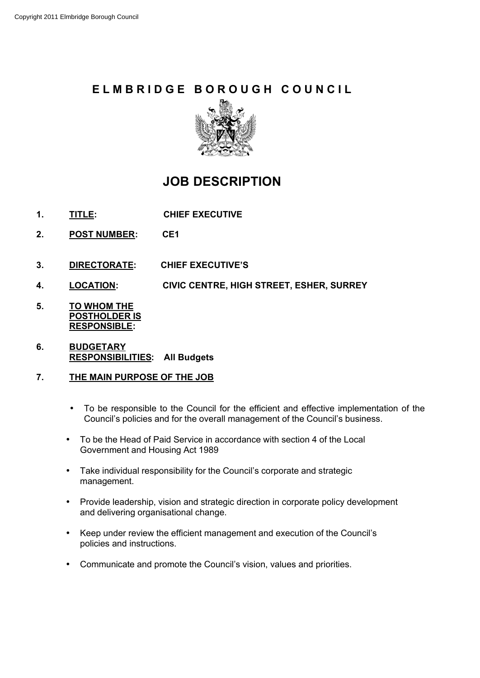# **E L M B R I D G E B O R O U G H C O U N C I L**



# **JOB DESCRIPTION**

- **1. TITLE: CHIEF EXECUTIVE**
- **2. POST NUMBER: CE1**
- **3. DIRECTORATE: CHIEF EXECUTIVE'S**
- **4. LOCATION: CIVIC CENTRE, HIGH STREET, ESHER, SURREY**
- **5. TO WHOM THE POSTHOLDER IS RESPONSIBLE:**
- **6. BUDGETARY RESPONSIBILITIES: All Budgets**

### **7. THE MAIN PURPOSE OF THE JOB**

- To be responsible to the Council for the efficient and effective implementation of the Council's policies and for the overall management of the Council's business.
- To be the Head of Paid Service in accordance with section 4 of the Local Government and Housing Act 1989
- Take individual responsibility for the Council's corporate and strategic management.
- Provide leadership, vision and strategic direction in corporate policy development and delivering organisational change.
- Keep under review the efficient management and execution of the Council's policies and instructions.
- Communicate and promote the Council's vision, values and priorities.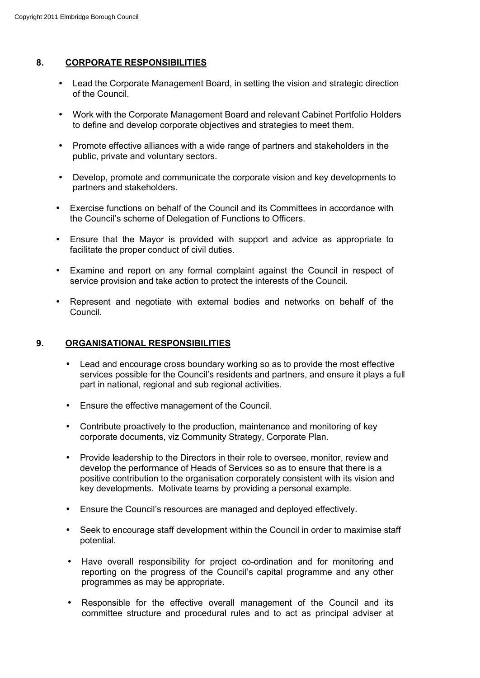## **8. CORPORATE RESPONSIBILITIES**

- Lead the Corporate Management Board, in setting the vision and strategic direction of the Council.
- Work with the Corporate Management Board and relevant Cabinet Portfolio Holders to define and develop corporate objectives and strategies to meet them.
- Promote effective alliances with a wide range of partners and stakeholders in the public, private and voluntary sectors.
- Develop, promote and communicate the corporate vision and key developments to partners and stakeholders.
- Exercise functions on behalf of the Council and its Committees in accordance with the Council's scheme of Delegation of Functions to Officers.
- Ensure that the Mayor is provided with support and advice as appropriate to facilitate the proper conduct of civil duties.
- Examine and report on any formal complaint against the Council in respect of service provision and take action to protect the interests of the Council.
- Represent and negotiate with external bodies and networks on behalf of the Council.

### **9. ORGANISATIONAL RESPONSIBILITIES**

- Lead and encourage cross boundary working so as to provide the most effective services possible for the Council's residents and partners, and ensure it plays a full part in national, regional and sub regional activities.
- Ensure the effective management of the Council.
- Contribute proactively to the production, maintenance and monitoring of key corporate documents, viz Community Strategy, Corporate Plan.
- Provide leadership to the Directors in their role to oversee, monitor, review and develop the performance of Heads of Services so as to ensure that there is a positive contribution to the organisation corporately consistent with its vision and key developments. Motivate teams by providing a personal example.
- Ensure the Council's resources are managed and deployed effectively.
- Seek to encourage staff development within the Council in order to maximise staff potential.
- Have overall responsibility for project co-ordination and for monitoring and reporting on the progress of the Council's capital programme and any other programmes as may be appropriate.
- Responsible for the effective overall management of the Council and its committee structure and procedural rules and to act as principal adviser at